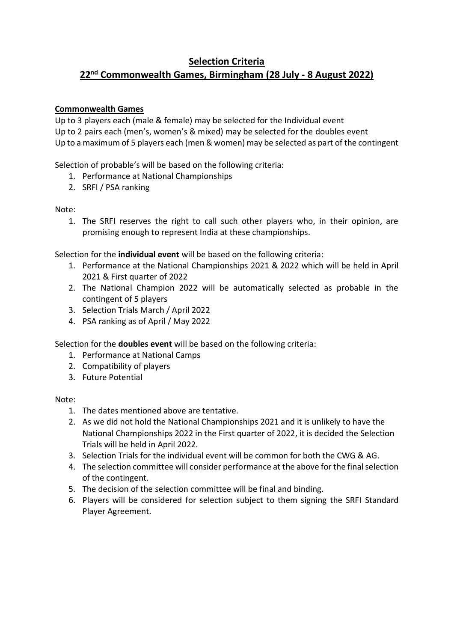## **Selection Criteria 22nd Commonwealth Games, Birmingham (28 July - 8 August 2022)**

## **Commonwealth Games**

Up to 3 players each (male & female) may be selected for the Individual event Up to 2 pairs each (men's, women's & mixed) may be selected for the doubles event Up to a maximum of 5 players each (men & women) may be selected as part of the contingent

Selection of probable's will be based on the following criteria:

- 1. Performance at National Championships
- 2. SRFI / PSA ranking

### Note:

1. The SRFI reserves the right to call such other players who, in their opinion, are promising enough to represent India at these championships.

Selection for the **individual event** will be based on the following criteria:

- 1. Performance at the National Championships 2021 & 2022 which will be held in April 2021 & First quarter of 2022
- 2. The National Champion 2022 will be automatically selected as probable in the contingent of 5 players
- 3. Selection Trials March / April 2022
- 4. PSA ranking as of April / May 2022

Selection for the **doubles event** will be based on the following criteria:

- 1. Performance at National Camps
- 2. Compatibility of players
- 3. Future Potential

#### Note:

- 1. The dates mentioned above are tentative.
- 2. As we did not hold the National Championships 2021 and it is unlikely to have the National Championships 2022 in the First quarter of 2022, it is decided the Selection Trials will be held in April 2022.
- 3. Selection Trials for the individual event will be common for both the CWG & AG.
- 4. The selection committee will consider performance at the above for the final selection of the contingent.
- 5. The decision of the selection committee will be final and binding.
- 6. Players will be considered for selection subject to them signing the SRFI Standard Player Agreement.